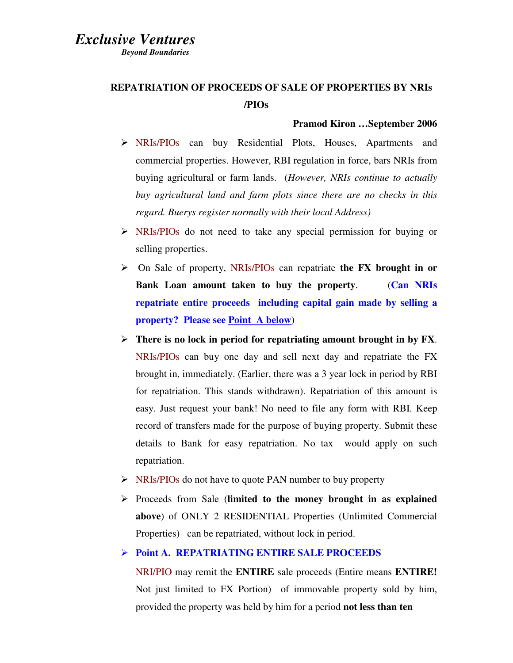## *Exclusive Ventures*

 *Beyond Boundaries* 

# **REPATRIATION OF PROCEEDS OF SALE OF PROPERTIES BY NRIs /PIOs**

#### **Pramod Kiron …September 2006**

- NRIs/PIOs can buy Residential Plots, Houses, Apartments and commercial properties. However, RBI regulation in force, bars NRIs from buying agricultural or farm lands. (*However, NRIs continue to actually buy agricultural land and farm plots since there are no checks in this regard. Buerys register normally with their local Address)*
- NRIs/PIOs do not need to take any special permission for buying or selling properties.
- On Sale of property, NRIs/PIOs can repatriate **the FX brought in or Bank Loan amount taken to buy the property**. (**Can NRIs repatriate entire proceeds including capital gain made by selling a property? Please see Point A below**)
- **There is no lock in period for repatriating amount brought in by FX**. NRIs/PIOs can buy one day and sell next day and repatriate the FX brought in, immediately. (Earlier, there was a 3 year lock in period by RBI for repatriation. This stands withdrawn). Repatriation of this amount is easy. Just request your bank! No need to file any form with RBI. Keep record of transfers made for the purpose of buying property. Submit these details to Bank for easy repatriation. No tax would apply on such repatriation.
- $\triangleright$  NRIs/PIOs do not have to quote PAN number to buy property
- Proceeds from Sale (**limited to the money brought in as explained above**) of ONLY 2 RESIDENTIAL Properties (Unlimited Commercial Properties) can be repatriated, without lock in period.

## **Point A. REPATRIATING ENTIRE SALE PROCEEDS**

NRI/PIO may remit the **ENTIRE** sale proceeds (Entire means **ENTIRE!** Not just limited to FX Portion) of immovable property sold by him, provided the property was held by him for a period **not less than ten**